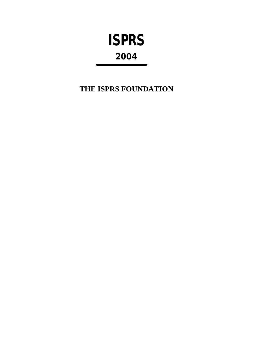# **ISPRS 2004**

**THE ISPRS FOUNDATION**